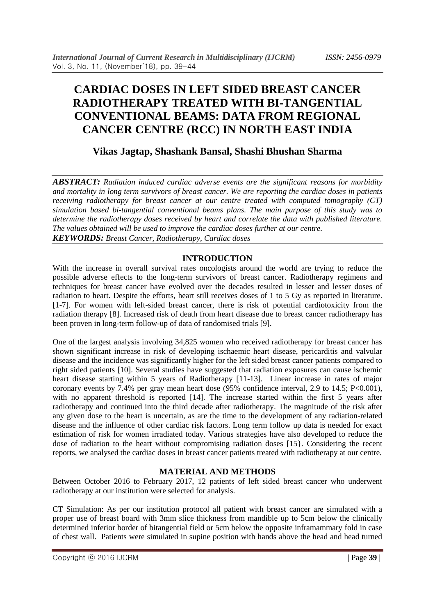# **CARDIAC DOSES IN LEFT SIDED BREAST CANCER RADIOTHERAPY TREATED WITH BI-TANGENTIAL CONVENTIONAL BEAMS: DATA FROM REGIONAL CANCER CENTRE (RCC) IN NORTH EAST INDIA**

# **Vikas Jagtap, Shashank Bansal, Shashi Bhushan Sharma**

*ABSTRACT: Radiation induced cardiac adverse events are the significant reasons for morbidity and mortality in long term survivors of breast cancer. We are reporting the cardiac doses in patients receiving radiotherapy for breast cancer at our centre treated with computed tomography (CT) simulation based bi-tangential conventional beams plans. The main purpose of this study was to determine the radiotherapy doses received by heart and correlate the data with published literature. The values obtained will be used to improve the cardiac doses further at our centre. KEYWORDS: Breast Cancer, Radiotherapy, Cardiac doses*

#### **INTRODUCTION**

With the increase in overall survival rates oncologists around the world are trying to reduce the possible adverse effects to the long-term survivors of breast cancer. Radiotherapy regimens and techniques for breast cancer have evolved over the decades resulted in lesser and lesser doses of radiation to heart. Despite the efforts, heart still receives doses of 1 to 5 Gy as reported in literature. [1-7]. For women with left-sided breast cancer, there is risk of potential cardiotoxicity from the radiation therapy [8]. Increased risk of death from heart disease due to breast cancer radiotherapy has been proven in long-term follow-up of data of randomised trials [9].

One of the largest analysis involving 34,825 women who received radiotherapy for breast cancer has shown significant increase in risk of developing ischaemic heart disease, pericarditis and valvular disease and the incidence was significantly higher for the left sided breast cancer patients compared to right sided patients [10]. Several studies have suggested that radiation exposures can cause ischemic heart disease starting within 5 years of Radiotherapy [11-13]. Linear increase in rates of major coronary events by  $7.4\%$  per gray mean heart dose (95% confidence interval, 2.9 to 14.5; P<0.001), with no apparent threshold is reported [14]. The increase started within the first 5 years after radiotherapy and continued into the third decade after radiotherapy. The magnitude of the risk after any given dose to the heart is uncertain, as are the time to the development of any radiation-related disease and the influence of other cardiac risk factors. Long term follow up data is needed for exact estimation of risk for women irradiated today. Various strategies have also developed to reduce the dose of radiation to the heart without compromising radiation doses [15}. Considering the recent reports, we analysed the cardiac doses in breast cancer patients treated with radiotherapy at our centre.

### **MATERIAL AND METHODS**

Between October 2016 to February 2017, 12 patients of left sided breast cancer who underwent radiotherapy at our institution were selected for analysis.

CT Simulation: As per our institution protocol all patient with breast cancer are simulated with a proper use of breast board with 3mm slice thickness from mandible up to 5cm below the clinically determined inferior border of bitangential field or 5cm below the opposite inframammary fold in case of chest wall. Patients were simulated in supine position with hands above the head and head turned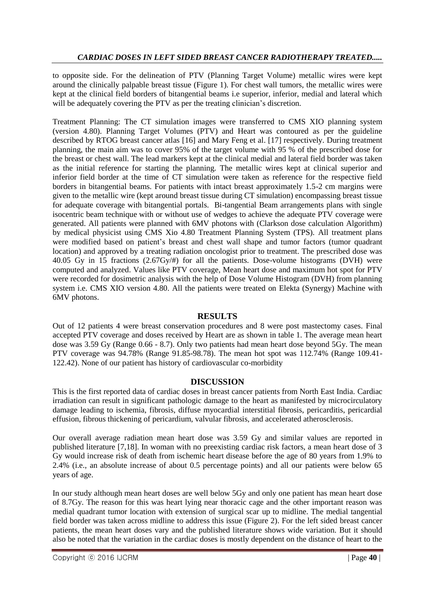to opposite side. For the delineation of PTV (Planning Target Volume) metallic wires were kept around the clinically palpable breast tissue (Figure 1). For chest wall tumors, the metallic wires were kept at the clinical field borders of bitangential beams i.e superior, inferior, medial and lateral which will be adequately covering the PTV as per the treating clinician's discretion.

Treatment Planning: The CT simulation images were transferred to CMS XIO planning system (version 4.80). Planning Target Volumes (PTV) and Heart was contoured as per the guideline described by RTOG breast cancer atlas [16] and Mary Feng et al. [17] respectively. During treatment planning, the main aim was to cover 95% of the target volume with 95 % of the prescribed dose for the breast or chest wall. The lead markers kept at the clinical medial and lateral field border was taken as the initial reference for starting the planning. The metallic wires kept at clinical superior and inferior field border at the time of CT simulation were taken as reference for the respective field borders in bitangential beams. For patients with intact breast approximately 1.5-2 cm margins were given to the metallic wire (kept around breast tissue during CT simulation) encompassing breast tissue for adequate coverage with bitangential portals. Bi-tangential Beam arrangements plans with single isocentric beam technique with or without use of wedges to achieve the adequate PTV coverage were generated. All patients were planned with 6MV photons with (Clarkson dose calculation Algorithm) by medical physicist using CMS Xio 4.80 Treatment Planning System (TPS). All treatment plans were modified based on patient's breast and chest wall shape and tumor factors (tumor quadrant location) and approved by a treating radiation oncologist prior to treatment. The prescribed dose was 40.05 Gy in 15 fractions (2.67Gy/#) for all the patients. Dose-volume histograms (DVH) were computed and analyzed. Values like PTV coverage, Mean heart dose and maximum hot spot for PTV were recorded for dosimetric analysis with the help of Dose Volume Histogram (DVH) from planning system i.e. CMS XIO version 4.80. All the patients were treated on Elekta (Synergy) Machine with 6MV photons.

#### **RESULTS**

Out of 12 patients 4 were breast conservation procedures and 8 were post mastectomy cases. Final accepted PTV coverage and doses received by Heart are as shown in table 1. The average mean heart dose was 3.59 Gy (Range 0.66 - 8.7). Only two patients had mean heart dose beyond 5Gy. The mean PTV coverage was 94.78% (Range 91.85-98.78). The mean hot spot was 112.74% (Range 109.41- 122.42). None of our patient has history of cardiovascular co-morbidity

#### **DISCUSSION**

This is the first reported data of cardiac doses in breast cancer patients from North East India. Cardiac irradiation can result in significant pathologic damage to the heart as manifested by microcirculatory damage leading to ischemia, fibrosis, diffuse myocardial interstitial fibrosis, pericarditis, pericardial effusion, fibrous thickening of pericardium, valvular fibrosis, and accelerated atherosclerosis.

Our overall average radiation mean heart dose was 3.59 Gy and similar values are reported in published literature [7,18]. In woman with no preexisting cardiac risk factors, a mean heart dose of 3 Gy would increase risk of death from ischemic heart disease before the age of 80 years from 1.9% to 2.4% (i.e., an absolute increase of about 0.5 percentage points) and all our patients were below 65 years of age.

In our study although mean heart doses are well below 5Gy and only one patient has mean heart dose of 8.7Gy. The reason for this was heart lying near thoracic cage and the other important reason was medial quadrant tumor location with extension of surgical scar up to midline. The medial tangential field border was taken across midline to address this issue (Figure 2). For the left sided breast cancer patients, the mean heart doses vary and the published literature shows wide variation. But it should also be noted that the variation in the cardiac doses is mostly dependent on the distance of heart to the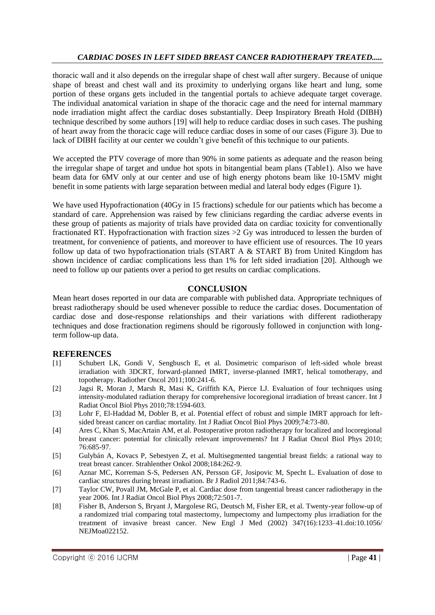thoracic wall and it also depends on the irregular shape of chest wall after surgery. Because of unique shape of breast and chest wall and its proximity to underlying organs like heart and lung, some portion of these organs gets included in the tangential portals to achieve adequate target coverage. The individual anatomical variation in shape of the thoracic cage and the need for internal mammary node irradiation might affect the cardiac doses substantially. Deep Inspiratory Breath Hold (DIBH) technique described by some authors [19] will help to reduce cardiac doses in such cases. The pushing of heart away from the thoracic cage will reduce cardiac doses in some of our cases (Figure 3). Due to lack of DIBH facility at our center we couldn't give benefit of this technique to our patients.

We accepted the PTV coverage of more than 90% in some patients as adequate and the reason being the irregular shape of target and undue hot spots in bitangential beam plans (Table1). Also we have beam data for 6MV only at our center and use of high energy photons beam like 10-15MV might benefit in some patients with large separation between medial and lateral body edges (Figure 1).

We have used Hypofractionation (40Gy in 15 fractions) schedule for our patients which has become a standard of care. Apprehension was raised by few clinicians regarding the cardiac adverse events in these group of patients as majority of trials have provided data on cardiac toxicity for conventionally fractionated RT. Hypofractionation with fraction sizes >2 Gy was introduced to lessen the burden of treatment, for convenience of patients, and moreover to have efficient use of resources. The 10 years follow up data of two hypofractionation trials (START A & START B) from United Kingdom has shown incidence of cardiac complications less than 1% for left sided irradiation [20]. Although we need to follow up our patients over a period to get results on cardiac complications.

#### **CONCLUSION**

Mean heart doses reported in our data are comparable with published data. Appropriate techniques of breast radiotherapy should be used whenever possible to reduce the cardiac doses. Documentation of cardiac dose and dose-response relationships and their variations with different radiotherapy techniques and dose fractionation regimens should be rigorously followed in conjunction with longterm follow-up data.

#### **REFERENCES**

- [1] Schubert LK, Gondi V, Sengbusch E, et al. Dosimetric comparison of left-sided whole breast irradiation with 3DCRT, forward-planned IMRT, inverse-planned IMRT, helical tomotherapy, and topotherapy. Radiother Oncol 2011;100:241-6.
- [2] Jagsi R, Moran J, Marsh R, Masi K, Griffith KA, Pierce LJ. Evaluation of four techniques using intensity-modulated radiation therapy for comprehensive locoregional irradiation of breast cancer. Int J Radiat Oncol Biol Phys 2010;78:1594-603.
- [3] Lohr F, El-Haddad M, Dobler B, et al. Potential effect of robust and simple IMRT approach for leftsided breast cancer on cardiac mortality. Int J Radiat Oncol Biol Phys 2009;74:73-80.
- [4] Ares C, Khan S, MacArtain AM, et al. Postoperative proton radiotherapy for localized and locoregional breast cancer: potential for clinically relevant improvements? Int J Radiat Oncol Biol Phys 2010; 76:685-97.
- [5] Gulybán A, Kovacs P, Sebestyen Z, et al. Multisegmented tangential breast fields: a rational way to treat breast cancer. Strahlenther Onkol 2008;184:262-9.
- [6] Aznar MC, Korreman S-S, Pedersen AN, Persson GF, Josipovic M, Specht L. Evaluation of dose to cardiac structures during breast irradiation. Br J Radiol 2011;84:743-6.
- [7] Taylor CW, Povall JM, McGale P, et al. Cardiac dose from tangential breast cancer radiotherapy in the year 2006. Int J Radiat Oncol Biol Phys 2008;72:501-7.
- [8] Fisher B, Anderson S, Bryant J, Margolese RG, Deutsch M, Fisher ER, et al. Twenty-year follow-up of a randomized trial comparing total mastectomy, lumpectomy and lumpectomy plus irradiation for the treatment of invasive breast cancer. New Engl J Med (2002) 347(16):1233–41.doi:10.1056/ NEJMoa022152.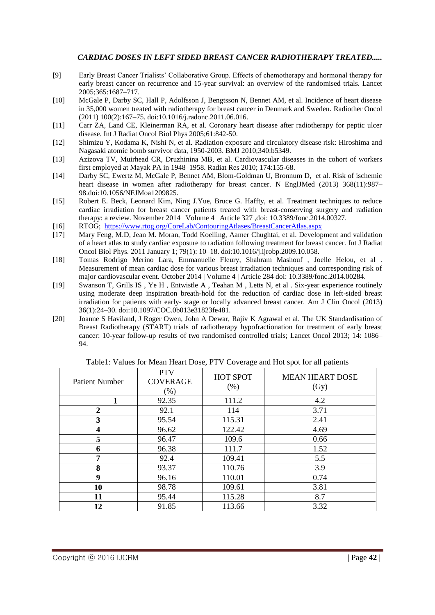- [9] Early Breast Cancer Trialists' Collaborative Group. Effects of chemotherapy and hormonal therapy for early breast cancer on recurrence and 15-year survival: an overview of the randomised trials. Lancet 2005;365:1687–717.
- [10] McGale P, Darby SC, Hall P, Adolfsson J, Bengtsson N, Bennet AM, et al. Incidence of heart disease in 35,000 women treated with radiotherapy for breast cancer in Denmark and Sweden. Radiother Oncol (2011) 100(2):167–75. doi:10.1016/j.radonc.2011.06.016.
- [11] Carr ZA, Land CE, Kleinerman RA, et al. Coronary heart disease after radiotherapy for peptic ulcer disease. Int J Radiat Oncol Biol Phys 2005;61:842-50.
- [12] Shimizu Y, Kodama K, Nishi N, et al. Radiation exposure and circulatory disease risk: Hiroshima and Nagasaki atomic bomb survivor data, 1950-2003. BMJ 2010;340:b5349.
- [13] Azizova TV, Muirhead CR, Druzhinina MB, et al. Cardiovascular diseases in the cohort of workers first employed at Mayak PA in 1948–1958. Radiat Res 2010; 174:155-68.
- [14] Darby SC, Ewertz M, McGale P, Bennet AM, Blom-Goldman U, Bronnum D, et al. Risk of ischemic heart disease in women after radiotherapy for breast cancer. N EnglJMed (2013) 368(11):987– 98.doi:10.1056/NEJMoa1209825.
- [15] Robert E. Beck, Leonard Kim, Ning J.Yue, Bruce G. Haffty, et al. Treatment techniques to reduce cardiac irradiation for breast cancer patients treated with breast-conserving surgery and radiation therapy: a review. November 2014 | Volume 4 | Article 327 ,doi: 10.3389/fonc.2014.00327.
- [16] RTOG; <https://www.rtog.org/CoreLab/ContouringAtlases/BreastCancerAtlas.aspx>
- [17] Mary Feng, M.D, Jean M. Moran, Todd Koelling, Aamer Chughtai, et al. Development and validation of a heart atlas to study cardiac exposure to radiation following treatment for breast cancer. Int J Radiat Oncol Biol Phys. 2011 January 1; 79(1): 10–18. doi:10.1016/j.ijrobp.2009.10.058.
- [18] Tomas Rodrigo Merino Lara, Emmanuelle Fleury, Shahram Mashouf , Joelle Helou, et al . Measurement of mean cardiac dose for various breast irradiation techniques and corresponding risk of major cardiovascular event. October 2014 | Volume 4 | Article 284 doi: 10.3389/fonc.2014.00284.
- [19] Swanson T, Grills IS , Ye H , Entwistle A , Teahan M , Letts N, et al . Six-year experience routinely using moderate deep inspiration breath-hold for the reduction of cardiac dose in left-sided breast irradiation for patients with early- stage or locally advanced breast cancer. Am J Clin Oncol (2013) 36(1):24–30. doi:10.1097/COC.0b013e31823fe481.
- [20] Joanne S Haviland, J Roger Owen, John A Dewar, Rajiv K Agrawal et al. The UK Standardisation of Breast Radiotherapy (START) trials of radiotherapy hypofractionation for treatment of early breast cancer: 10-year follow-up results of two randomised controlled trials; Lancet Oncol 2013; 14: 1086– 94.

| <b>Patient Number</b> | <b>PTV</b><br><b>COVERAGE</b><br>$(\%)$ | <b>HOT SPOT</b><br>(% ) | <b>MEAN HEART DOSE</b><br>(Gy) |
|-----------------------|-----------------------------------------|-------------------------|--------------------------------|
|                       | 92.35                                   | 111.2                   | 4.2                            |
| 2                     | 92.1                                    | 114                     | 3.71                           |
| 3                     | 95.54                                   | 115.31                  | 2.41                           |
| 4                     | 96.62                                   | 122.42                  | 4.69                           |
| 5                     | 96.47                                   | 109.6                   | 0.66                           |
| 6                     | 96.38                                   | 111.7                   | 1.52                           |
| 7                     | 92.4                                    | 109.41                  | 5.5                            |
| 8                     | 93.37                                   | 110.76                  | 3.9                            |
| 9                     | 96.16                                   | 110.01                  | 0.74                           |
| 10                    | 98.78                                   | 109.61                  | 3.81                           |
| 11                    | 95.44                                   | 115.28                  | 8.7                            |
| 12                    | 91.85                                   | 113.66                  | 3.32                           |

Table1: Values for Mean Heart Dose, PTV Coverage and Hot spot for all patients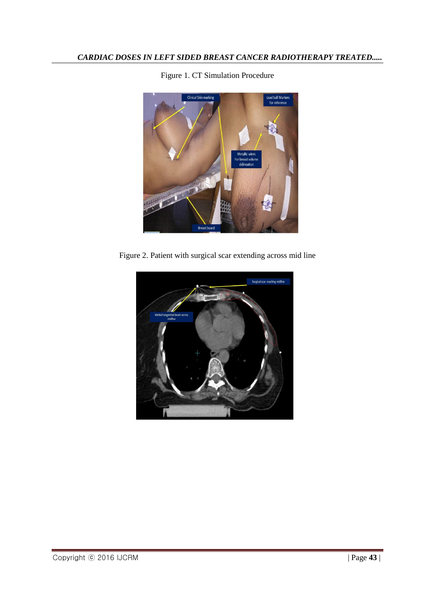

Figure 1. CT Simulation Procedure

Figure 2. Patient with surgical scar extending across mid line